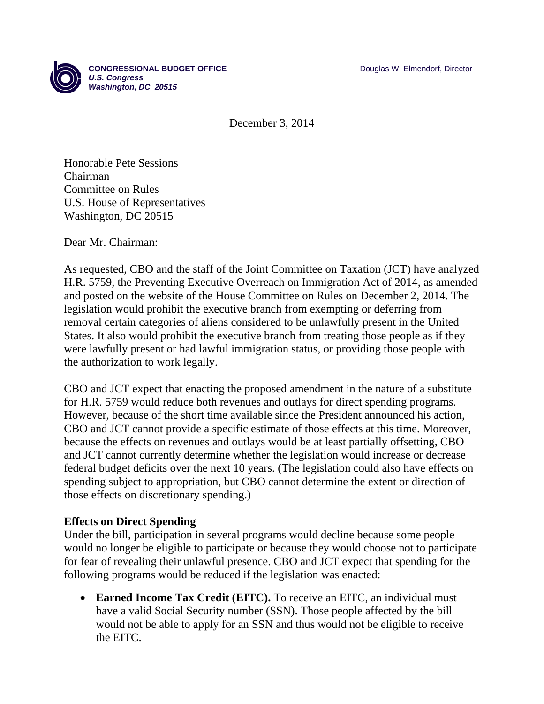

December 3, 2014

Honorable Pete Sessions Chairman Committee on Rules U.S. House of Representatives Washington, DC 20515

Dear Mr. Chairman:

As requested, CBO and the staff of the Joint Committee on Taxation (JCT) have analyzed H.R. 5759, the Preventing Executive Overreach on Immigration Act of 2014, as amended and posted on the website of the House Committee on Rules on December 2, 2014. The legislation would prohibit the executive branch from exempting or deferring from removal certain categories of aliens considered to be unlawfully present in the United States. It also would prohibit the executive branch from treating those people as if they were lawfully present or had lawful immigration status, or providing those people with the authorization to work legally.

CBO and JCT expect that enacting the proposed amendment in the nature of a substitute for H.R. 5759 would reduce both revenues and outlays for direct spending programs. However, because of the short time available since the President announced his action, CBO and JCT cannot provide a specific estimate of those effects at this time. Moreover, because the effects on revenues and outlays would be at least partially offsetting, CBO and JCT cannot currently determine whether the legislation would increase or decrease federal budget deficits over the next 10 years. (The legislation could also have effects on spending subject to appropriation, but CBO cannot determine the extent or direction of those effects on discretionary spending.)

## **Effects on Direct Spending**

Under the bill, participation in several programs would decline because some people would no longer be eligible to participate or because they would choose not to participate for fear of revealing their unlawful presence. CBO and JCT expect that spending for the following programs would be reduced if the legislation was enacted:

• **Earned Income Tax Credit (EITC).** To receive an EITC, an individual must have a valid Social Security number (SSN). Those people affected by the bill would not be able to apply for an SSN and thus would not be eligible to receive the EITC.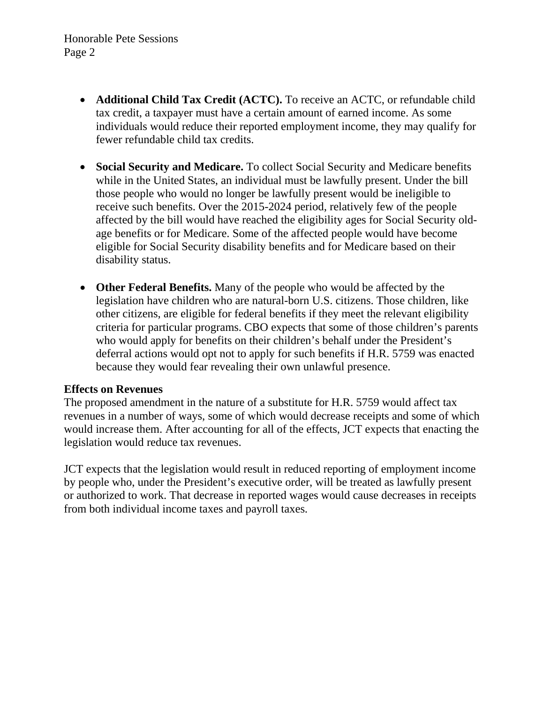- **Additional Child Tax Credit (ACTC).** To receive an ACTC, or refundable child tax credit, a taxpayer must have a certain amount of earned income. As some individuals would reduce their reported employment income, they may qualify for fewer refundable child tax credits.
- **Social Security and Medicare.** To collect Social Security and Medicare benefits while in the United States, an individual must be lawfully present. Under the bill those people who would no longer be lawfully present would be ineligible to receive such benefits. Over the 2015-2024 period, relatively few of the people affected by the bill would have reached the eligibility ages for Social Security oldage benefits or for Medicare. Some of the affected people would have become eligible for Social Security disability benefits and for Medicare based on their disability status.
- **Other Federal Benefits.** Many of the people who would be affected by the legislation have children who are natural-born U.S. citizens. Those children, like other citizens, are eligible for federal benefits if they meet the relevant eligibility criteria for particular programs. CBO expects that some of those children's parents who would apply for benefits on their children's behalf under the President's deferral actions would opt not to apply for such benefits if H.R. 5759 was enacted because they would fear revealing their own unlawful presence.

## **Effects on Revenues**

The proposed amendment in the nature of a substitute for H.R. 5759 would affect tax revenues in a number of ways, some of which would decrease receipts and some of which would increase them. After accounting for all of the effects, JCT expects that enacting the legislation would reduce tax revenues.

JCT expects that the legislation would result in reduced reporting of employment income by people who, under the President's executive order, will be treated as lawfully present or authorized to work. That decrease in reported wages would cause decreases in receipts from both individual income taxes and payroll taxes.